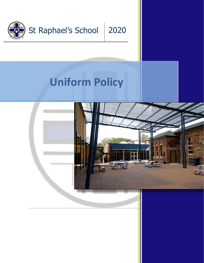

# **Uniform Policy**

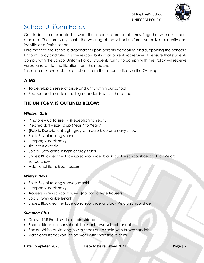

# School Uniform Policy

Our students are expected to wear the school uniform at all times. Together with our school emblem**,** 'The Lord is my Light', the wearing of the school uniform symbolizes our unity and identity as a Parish school.

Enrolment at the school is dependent upon parents accepting and supporting the School's Uniform Policy and rules. It is the responsibility of all parents/caregivers to ensure that students comply with the School Uniform Policy. Students failing to comply with the Policy will receive verbal and written notification from their teacher.

The uniform is available for purchase from the school office via the Qkr App.

### **AIMS:**

- To develop a sense of pride and unity within our school
- Support and maintain the high standards within the school

## **THE UNIFORM IS OUTLINED BELOW:**

#### *Winter: Girls*

- Pinafore up to size 14 (Reception to Year 3)
- Pleated skirt size 10 up (Year 4 to Year 7)
- (Fabric Description) Light grey with pale blue and navy stripe
- Shirt: Sky blue long sleeve
- Jumper; V-neck navy
- Tie: cross over tie
- Socks: Grey ankle length or grey tights
- Shoes: Black leather lace up school shoe, black buckle school shoe or black Velcro school shoe
- Additional item: Blue trousers

#### *Winter: Boys*

- Shirt: Sky blue long sleeve jac-shirt
- Jumper: V-neck navy
- Trousers: Grey school trousers (no cargo type trousers)
- Socks: Grey ankle length
- Shoes: Black leather lace up school shoe or black Velcro school shoe

#### *Summer: Girls*

- Dress: TAB Front- Mid blue pin-striped
- Shoes: Black leather school shoes or brown school sandals
- Socks: White ankle length with shoes or no socks with brown sandals
- Additional item: Skort (to be worn with short sleeve shirt)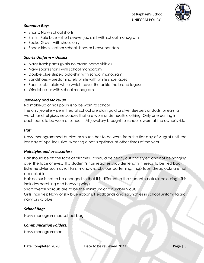

#### *Summer: Boys*

- Shorts: Navy school shorts
- Shirts: Pale blue short sleeve, jac shirt with school monogram
- Socks: Grey with shoes only
- Shoes: Black leather school shoes or brown sandals

#### *Sports Uniform – Unisex*

- Navy track pants (plain no brand name visible)
- Navy sports shorts with school monogram
- Double blue striped polo-shirt with school monogram
- Sandshoes predominately white with white shoe laces
- Sport socks- plain white which cover the ankle (no brand logos)
- Windcheater with school monogram

#### *Jewellery and Make-up*

No make-up or nail polish is to be worn to school

The only jewellery permitted at school are plain gold or silver sleepers or studs for ears, a watch and religious necklaces that are worn underneath clothing. Only one earring in each ear is to be worn at school. All jewellery brought to school is worn at the owner's risk.

#### *Hat:*

Navy monogrammed bucket or slouch hat to be worn from the first day of August until the last day of April inclusive. Wearing a hat is optional at other times of the year.

#### *Hairstyles and accessories:*

Hair should be off the face at all times. It should be neatly cut and styled and not be hanging over the face or eyes. If a student's hair reaches shoulder length it needs to be tied back. Extreme styles such as rat tails, mohawks, obvious patterning, mop tops, dreadlocks are not acceptable.

Hair colour is not to be changed so that it is different to the student's natural colouring. This includes patching and heavy tipping.

Short overall haircuts are to be the minimum of a number 2 cut.

Girls' hair ties: Navy or sky blue ribbons. Headbands and scrunchies in school uniform fabric, navy or sky blue.

#### *School Bag:*

Navy monogrammed school bag.

#### *Communication Folders:*

Navy monogrammed.

Date Completed 2020 Date to be reviewed 2023